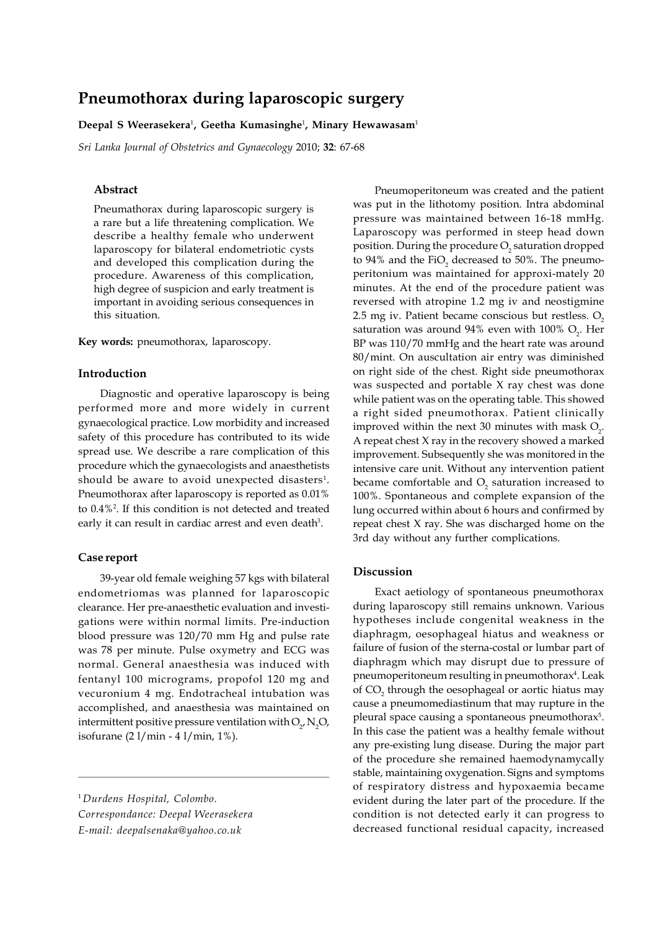# **Pneumothorax during laparoscopic surgery**

### **Deepal S Weerasekera**<sup>1</sup> **, Geetha Kumasinghe**<sup>1</sup> **, Minary Hewawasam**<sup>1</sup>

*Sri Lanka Journal of Obstetrics and Gynaecology* 2010; **32**: 67-68

## **Abstract**

Pneumathorax during laparoscopic surgery is a rare but a life threatening complication. We describe a healthy female who underwent laparoscopy for bilateral endometriotic cysts and developed this complication during the procedure. Awareness of this complication, high degree of suspicion and early treatment is important in avoiding serious consequences in this situation.

**Key words:** pneumothorax, laparoscopy.

### **Introduction**

Diagnostic and operative laparoscopy is being performed more and more widely in current gynaecological practice. Low morbidity and increased safety of this procedure has contributed to its wide spread use. We describe a rare complication of this procedure which the gynaecologists and anaesthetists should be aware to avoid unexpected disasters $^{\rm 1}.$ Pneumothorax after laparoscopy is reported as 0.01% to 0.4%<sup>2</sup> . If this condition is not detected and treated early it can result in cardiac arrest and even death<sup>3</sup>.

## **Case report**

39-year old female weighing 57 kgs with bilateral endometriomas was planned for laparoscopic clearance. Her pre-anaesthetic evaluation and investigations were within normal limits. Pre-induction blood pressure was 120/70 mm Hg and pulse rate was 78 per minute. Pulse oxymetry and ECG was normal. General anaesthesia was induced with fentanyl 100 micrograms, propofol 120 mg and vecuronium 4 mg. Endotracheal intubation was accomplished, and anaesthesia was maintained on intermittent positive pressure ventilation with  $\mathrm{O}_{\gamma}$ ,  $\mathrm{N}_{\mathrm{2}}\mathrm{O}$ , isofurane (2 l/min - 4 l/min, 1%).

*Correspondance: Deepal Weerasekera E-mail: deepalsenaka@yahoo.co.uk*

Pneumoperitoneum was created and the patient was put in the lithotomy position. Intra abdominal pressure was maintained between 16-18 mmHg. Laparoscopy was performed in steep head down position. During the procedure  $\mathrm{O}_\mathrm{2}$  saturation dropped to 94% and the FiO<sub>2</sub> decreased to 50%. The pneumoperitonium was maintained for approxi-mately 20 minutes. At the end of the procedure patient was reversed with atropine 1.2 mg iv and neostigmine 2.5 mg iv. Patient became conscious but restless.  $O<sub>2</sub>$ saturation was around 94% even with 100%  $\mathrm{O}_{\!2}$ . Her BP was 110/70 mmHg and the heart rate was around 80/mint. On auscultation air entry was diminished on right side of the chest. Right side pneumothorax was suspected and portable X ray chest was done while patient was on the operating table. This showed a right sided pneumothorax. Patient clinically improved within the next 30 minutes with mask  $O_{2}$ . A repeat chest X ray in the recovery showed a marked improvement. Subsequently she was monitored in the intensive care unit. Without any intervention patient became comfortable and  $\mathrm{O}_\mathrm{2}$  saturation increased to 100%. Spontaneous and complete expansion of the lung occurred within about 6 hours and confirmed by repeat chest X ray. She was discharged home on the 3rd day without any further complications.

## **Discussion**

Exact aetiology of spontaneous pneumothorax during laparoscopy still remains unknown. Various hypotheses include congenital weakness in the diaphragm, oesophageal hiatus and weakness or failure of fusion of the sterna-costal or lumbar part of diaphragm which may disrupt due to pressure of pneumoperitoneum resulting in pneumothorax<sup>4</sup>. Leak of  $\mathrm{CO}_2$  through the oesophageal or aortic hiatus may cause a pneumomediastinum that may rupture in the pleural space causing a spontaneous pneumothorax<sup>5</sup>. In this case the patient was a healthy female without any pre-existing lung disease. During the major part of the procedure she remained haemodynamycally stable, maintaining oxygenation. Signs and symptoms of respiratory distress and hypoxaemia became evident during the later part of the procedure. If the condition is not detected early it can progress to decreased functional residual capacity, increased

<sup>1</sup> *Durdens Hospital, Colombo.*